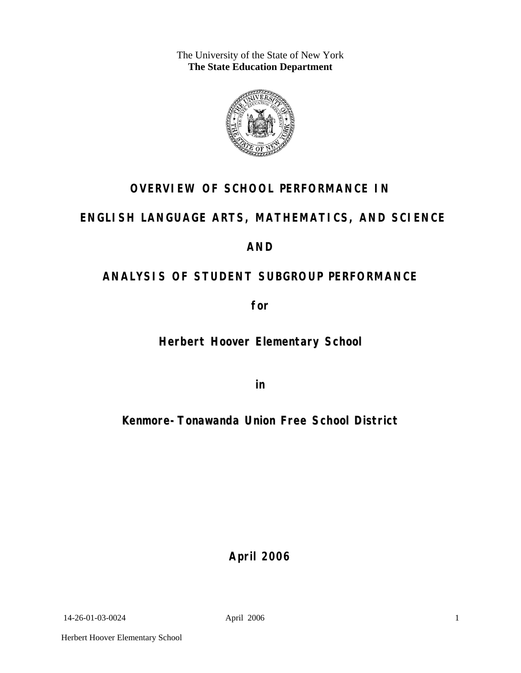The University of the State of New York **The State Education Department** 



# **OVERVIEW OF SCHOOL PERFORMANCE IN**

# **ENGLISH LANGUAGE ARTS, MATHEMATICS, AND SCIENCE**

## **AND**

# **ANALYSIS OF STUDENT SUBGROUP PERFORMANCE**

**for** 

**Herbert Hoover Elementary School**

**in** 

# **Kenmore-Tonawanda Union Free School District**

**April 2006**

14-26-01-03-0024 April 2006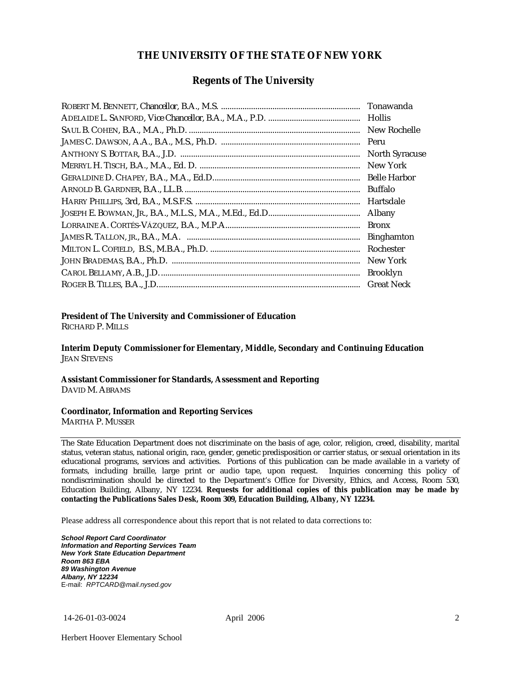#### **THE UNIVERSITY OF THE STATE OF NEW YORK**

#### **Regents of The University**

| Tonawanda             |
|-----------------------|
| Hollis                |
| New Rochelle          |
| Peru                  |
| <b>North Syracuse</b> |
| New York              |
|                       |
| Buffalo               |
| Hartsdale             |
| Albany                |
| <b>Bronx</b>          |
| <b>Binghamton</b>     |
| Rochester             |
| New York              |
| <b>Brooklyn</b>       |
| <b>Great Neck</b>     |

#### **President of The University and Commissioner of Education**

RICHARD P. MILLS

**Interim Deputy Commissioner for Elementary, Middle, Secondary and Continuing Education**  JEAN STEVENS

#### **Assistant Commissioner for Standards, Assessment and Reporting**  DAVID M. ABRAMS

#### **Coordinator, Information and Reporting Services**

MARTHA P. MUSSER

The State Education Department does not discriminate on the basis of age, color, religion, creed, disability, marital status, veteran status, national origin, race, gender, genetic predisposition or carrier status, or sexual orientation in its educational programs, services and activities. Portions of this publication can be made available in a variety of formats, including braille, large print or audio tape, upon request. Inquiries concerning this policy of nondiscrimination should be directed to the Department's Office for Diversity, Ethics, and Access, Room 530, Education Building, Albany, NY 12234. **Requests for additional copies of this publication may be made by contacting the Publications Sales Desk, Room 309, Education Building, Albany, NY 12234.** 

Please address all correspondence about this report that is not related to data corrections to:

*School Report Card Coordinator Information and Reporting Services Team New York State Education Department Room 863 EBA 89 Washington Avenue Albany, NY 12234*  E-mail: *RPTCARD@mail.nysed.gov*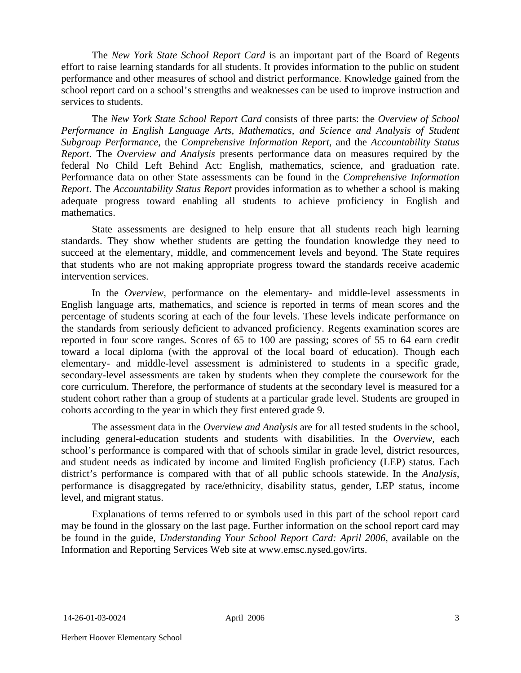The *New York State School Report Card* is an important part of the Board of Regents effort to raise learning standards for all students. It provides information to the public on student performance and other measures of school and district performance. Knowledge gained from the school report card on a school's strengths and weaknesses can be used to improve instruction and services to students.

The *New York State School Report Card* consists of three parts: the *Overview of School Performance in English Language Arts, Mathematics, and Science and Analysis of Student Subgroup Performance,* the *Comprehensive Information Report,* and the *Accountability Status Report*. The *Overview and Analysis* presents performance data on measures required by the federal No Child Left Behind Act: English, mathematics, science, and graduation rate. Performance data on other State assessments can be found in the *Comprehensive Information Report*. The *Accountability Status Report* provides information as to whether a school is making adequate progress toward enabling all students to achieve proficiency in English and mathematics.

State assessments are designed to help ensure that all students reach high learning standards. They show whether students are getting the foundation knowledge they need to succeed at the elementary, middle, and commencement levels and beyond. The State requires that students who are not making appropriate progress toward the standards receive academic intervention services.

In the *Overview*, performance on the elementary- and middle-level assessments in English language arts, mathematics, and science is reported in terms of mean scores and the percentage of students scoring at each of the four levels. These levels indicate performance on the standards from seriously deficient to advanced proficiency. Regents examination scores are reported in four score ranges. Scores of 65 to 100 are passing; scores of 55 to 64 earn credit toward a local diploma (with the approval of the local board of education). Though each elementary- and middle-level assessment is administered to students in a specific grade, secondary-level assessments are taken by students when they complete the coursework for the core curriculum. Therefore, the performance of students at the secondary level is measured for a student cohort rather than a group of students at a particular grade level. Students are grouped in cohorts according to the year in which they first entered grade 9.

The assessment data in the *Overview and Analysis* are for all tested students in the school, including general-education students and students with disabilities. In the *Overview*, each school's performance is compared with that of schools similar in grade level, district resources, and student needs as indicated by income and limited English proficiency (LEP) status. Each district's performance is compared with that of all public schools statewide. In the *Analysis*, performance is disaggregated by race/ethnicity, disability status, gender, LEP status, income level, and migrant status.

Explanations of terms referred to or symbols used in this part of the school report card may be found in the glossary on the last page. Further information on the school report card may be found in the guide, *Understanding Your School Report Card: April 2006*, available on the Information and Reporting Services Web site at www.emsc.nysed.gov/irts.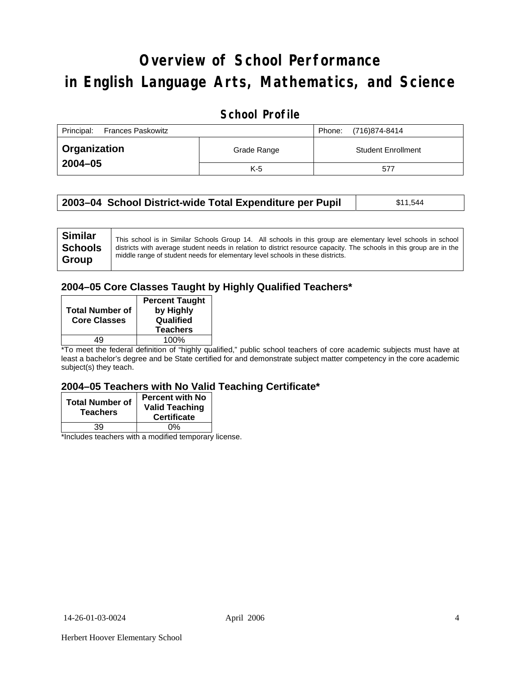# **Overview of School Performance in English Language Arts, Mathematics, and Science**

### **School Profile**

| Principal:<br><b>Frances Paskowitz</b> |             | (716)874-8414<br>Phone:   |
|----------------------------------------|-------------|---------------------------|
| ∣ Organization                         | Grade Range | <b>Student Enrollment</b> |
| $2004 - 05$                            | $K-5$       | 577                       |

| 2003–04 School District-wide Total Expenditure per Pupil | \$11,544 |
|----------------------------------------------------------|----------|
|                                                          |          |

#### **2004–05 Core Classes Taught by Highly Qualified Teachers\***

| <b>Total Number of</b><br><b>Core Classes</b> | <b>Percent Taught</b><br>by Highly<br>Qualified<br><b>Teachers</b> |
|-----------------------------------------------|--------------------------------------------------------------------|
| 10                                            | 100%                                                               |

\*To meet the federal definition of "highly qualified," public school teachers of core academic subjects must have at least a bachelor's degree and be State certified for and demonstrate subject matter competency in the core academic subject(s) they teach.

#### **2004–05 Teachers with No Valid Teaching Certificate\***

| <b>Total Number of</b><br><b>Teachers</b> | <b>Percent with No</b><br><b>Valid Teaching</b><br><b>Certificate</b> |
|-------------------------------------------|-----------------------------------------------------------------------|
| 39                                        | 0%                                                                    |
| $\mathbf{A}$<br>$\cdots$                  |                                                                       |

\*Includes teachers with a modified temporary license.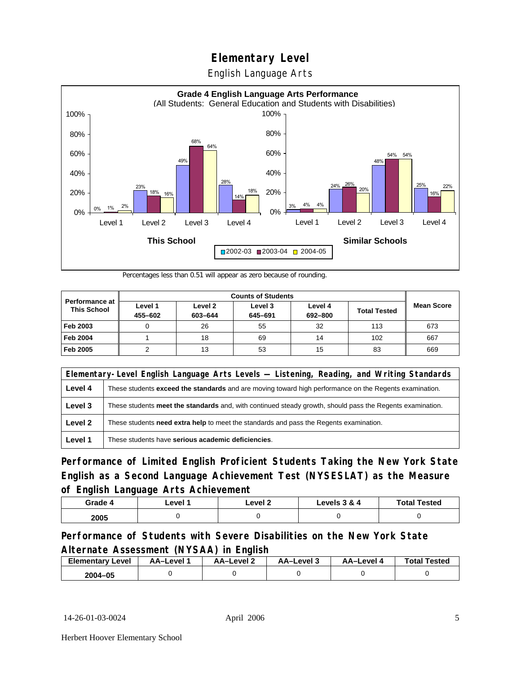English Language Arts



Percentages less than 0.51 will appear as zero because of rounding.

|                                             |                    | <b>Counts of Students</b> |                    |                    |                     |                   |
|---------------------------------------------|--------------------|---------------------------|--------------------|--------------------|---------------------|-------------------|
| <b>Performance at</b><br><b>This School</b> | Level 1<br>455-602 | Level 2<br>603-644        | Level 3<br>645-691 | Level 4<br>692-800 | <b>Total Tested</b> | <b>Mean Score</b> |
| Feb 2003                                    |                    | 26                        | 55                 | 32                 | 113                 | 673               |
| <b>Feb 2004</b>                             |                    | 18                        | 69                 | 14                 | 102                 | 667               |
| Feb 2005                                    |                    | 13                        | 53                 | 15                 | 83                  | 669               |

|         | Elementary-Level English Language Arts Levels - Listening, Reading, and Writing Standards                     |  |  |
|---------|---------------------------------------------------------------------------------------------------------------|--|--|
| Level 4 | These students <b>exceed the standards</b> and are moving toward high performance on the Regents examination. |  |  |
| Level 3 | These students meet the standards and, with continued steady growth, should pass the Regents examination.     |  |  |
| Level 2 | These students need extra help to meet the standards and pass the Regents examination.                        |  |  |
| Level 1 | These students have serious academic deficiencies.                                                            |  |  |

**Performance of Limited English Proficient Students Taking the New York State English as a Second Language Achievement Test (NYSESLAT) as the Measure of English Language Arts Achievement**

| Grade 4 | _evel | Level 2 | Levels 3 & 4 | <b>Total Tested</b> |
|---------|-------|---------|--------------|---------------------|
| 2005    |       |         |              |                     |

### **Performance of Students with Severe Disabilities on the New York State Alternate Assessment (NYSAA) in English**

| <b>Elementary</b><br>Level | AA-Level | AA–Level 2 | AA-Level 3 | AA–Level 4 | <b>Total Tested</b> |
|----------------------------|----------|------------|------------|------------|---------------------|
| 2004-05                    |          |            |            |            |                     |

14-26-01-03-0024 April 2006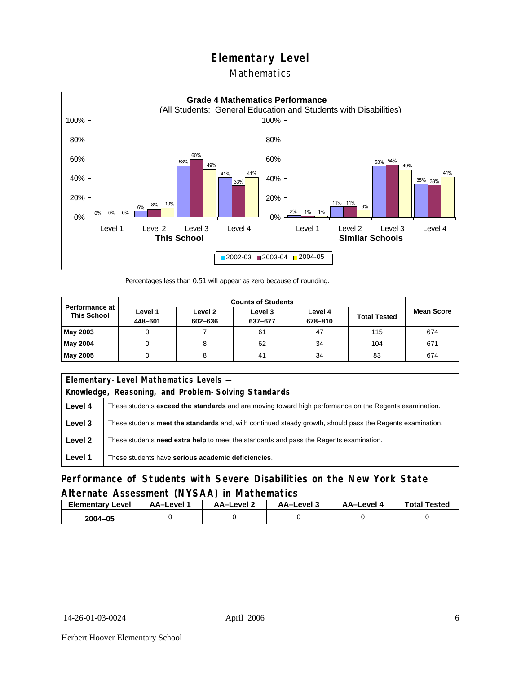### Mathematics



Percentages less than 0.51 will appear as zero because of rounding.

|                                             |                    |                    | <b>Counts of Students</b> |                    |                     |                   |
|---------------------------------------------|--------------------|--------------------|---------------------------|--------------------|---------------------|-------------------|
| <b>Performance at</b><br><b>This School</b> | Level 1<br>448-601 | Level 2<br>602-636 | Level 3<br>637-677        | Level 4<br>678-810 | <b>Total Tested</b> | <b>Mean Score</b> |
| May 2003                                    |                    |                    | 61                        | 47                 | 115                 | 674               |
| May 2004                                    | υ                  |                    | 62                        | 34                 | 104                 | 671               |
| May 2005                                    | U                  |                    | 41                        | 34                 | 83                  | 674               |

|         | Elementary-Level Mathematics Levels -                                                                         |  |  |
|---------|---------------------------------------------------------------------------------------------------------------|--|--|
|         | Knowledge, Reasoning, and Problem-Solving Standards                                                           |  |  |
| Level 4 | These students <b>exceed the standards</b> and are moving toward high performance on the Regents examination. |  |  |
| Level 3 | These students meet the standards and, with continued steady growth, should pass the Regents examination.     |  |  |
| Level 2 | These students <b>need extra help</b> to meet the standards and pass the Regents examination.                 |  |  |
| Level 1 | These students have serious academic deficiencies.                                                            |  |  |

### **Performance of Students with Severe Disabilities on the New York State Alternate Assessment (NYSAA) in Mathematics**

| Elementary<br>Level | AA–Level | – AA–Level ∠ | د AA–Level | AA-Level · | <b>Total Tested</b> |
|---------------------|----------|--------------|------------|------------|---------------------|
| 2004-05             |          |              |            |            |                     |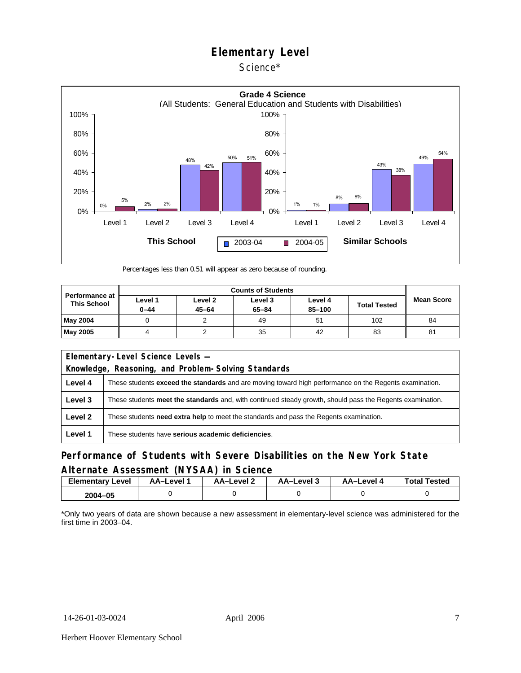



Percentages less than 0.51 will appear as zero because of rounding.

| <b>Performance at</b><br><b>This School</b> |                     |                      |                      |                   |                     |                   |
|---------------------------------------------|---------------------|----------------------|----------------------|-------------------|---------------------|-------------------|
|                                             | Level 1<br>$0 - 44$ | Level 2<br>$45 - 64$ | Level 3<br>$65 - 84$ | Level 4<br>85-100 | <b>Total Tested</b> | <b>Mean Score</b> |
| May 2004                                    |                     |                      | 49                   | 51                | 102                 | 84                |
| May 2005                                    |                     |                      | 35                   | 42                | 83                  | 81                |

| Elementary-Level Science Levels -<br>Knowledge, Reasoning, and Problem-Solving Standards |                                                                                                               |  |  |  |  |  |  |
|------------------------------------------------------------------------------------------|---------------------------------------------------------------------------------------------------------------|--|--|--|--|--|--|
| Level 4                                                                                  | These students <b>exceed the standards</b> and are moving toward high performance on the Regents examination. |  |  |  |  |  |  |
| Level 3                                                                                  | These students meet the standards and, with continued steady growth, should pass the Regents examination.     |  |  |  |  |  |  |
| Level 2                                                                                  | These students <b>need extra help</b> to meet the standards and pass the Regents examination.                 |  |  |  |  |  |  |
| Level 1                                                                                  | These students have serious academic deficiencies.                                                            |  |  |  |  |  |  |

#### **Performance of Students with Severe Disabilities on the New York State Alternate Assessment (NYSAA) in Science**

| <b>Elementary Level</b> | AA-Level |  | AA-Level 3 | AA-Level 4 |  |
|-------------------------|----------|--|------------|------------|--|
| 2004-05                 |          |  |            |            |  |

\*Only two years of data are shown because a new assessment in elementary-level science was administered for the first time in 2003–04.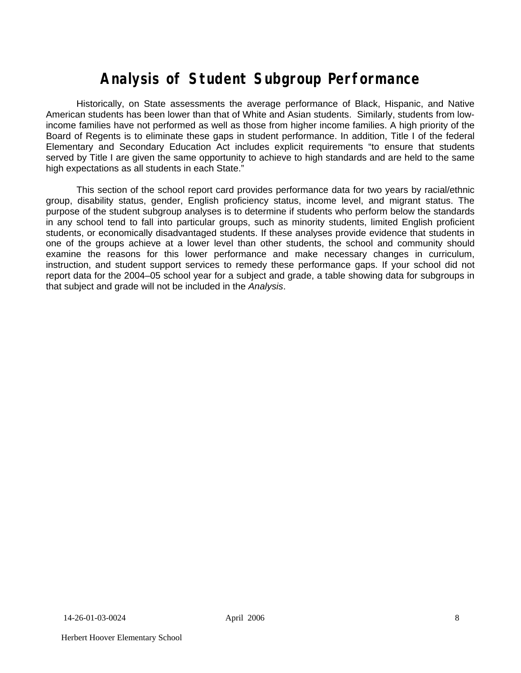# **Analysis of Student Subgroup Performance**

Historically, on State assessments the average performance of Black, Hispanic, and Native American students has been lower than that of White and Asian students. Similarly, students from lowincome families have not performed as well as those from higher income families. A high priority of the Board of Regents is to eliminate these gaps in student performance. In addition, Title I of the federal Elementary and Secondary Education Act includes explicit requirements "to ensure that students served by Title I are given the same opportunity to achieve to high standards and are held to the same high expectations as all students in each State."

This section of the school report card provides performance data for two years by racial/ethnic group, disability status, gender, English proficiency status, income level, and migrant status. The purpose of the student subgroup analyses is to determine if students who perform below the standards in any school tend to fall into particular groups, such as minority students, limited English proficient students, or economically disadvantaged students. If these analyses provide evidence that students in one of the groups achieve at a lower level than other students, the school and community should examine the reasons for this lower performance and make necessary changes in curriculum, instruction, and student support services to remedy these performance gaps. If your school did not report data for the 2004–05 school year for a subject and grade, a table showing data for subgroups in that subject and grade will not be included in the *Analysis*.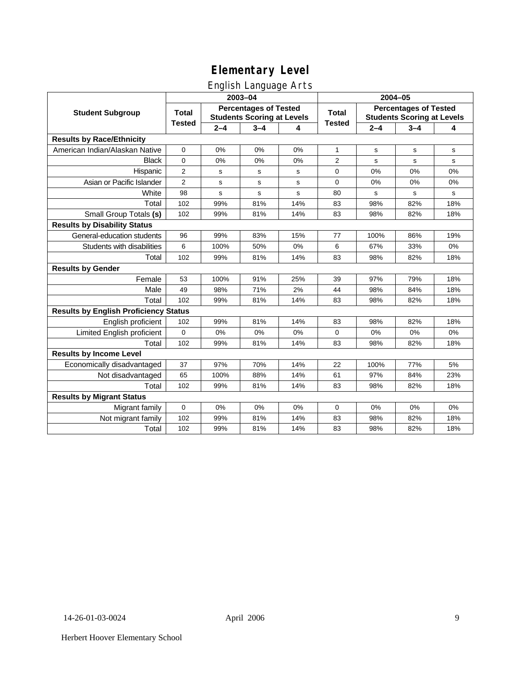### English Language Arts

|                                              |                |                                                                   | ັ<br>2003-04 |     | 2004-05       |                                                                   |         |             |  |
|----------------------------------------------|----------------|-------------------------------------------------------------------|--------------|-----|---------------|-------------------------------------------------------------------|---------|-------------|--|
| <b>Student Subgroup</b>                      | <b>Total</b>   | <b>Percentages of Tested</b><br><b>Students Scoring at Levels</b> |              |     | <b>Total</b>  | <b>Percentages of Tested</b><br><b>Students Scoring at Levels</b> |         |             |  |
|                                              | <b>Tested</b>  | $2 - 4$                                                           | $3 - 4$      | 4   | <b>Tested</b> | $2 - 4$                                                           | $3 - 4$ | 4           |  |
| <b>Results by Race/Ethnicity</b>             |                |                                                                   |              |     |               |                                                                   |         |             |  |
| American Indian/Alaskan Native               | $\mathbf 0$    | 0%                                                                | 0%           | 0%  | $\mathbf{1}$  | s                                                                 | s       | s           |  |
| <b>Black</b>                                 | $\mathbf 0$    | 0%                                                                | 0%           | 0%  | 2             | s                                                                 | s       | s           |  |
| Hispanic                                     | $\overline{2}$ | s                                                                 | s            | s   | 0             | 0%                                                                | 0%      | 0%          |  |
| Asian or Pacific Islander                    | $\overline{2}$ | s                                                                 | s            | s   | 0             | 0%                                                                | 0%      | 0%          |  |
| White                                        | 98             | s                                                                 | s            | s   | 80            | s                                                                 | s       | $\mathbf s$ |  |
| Total                                        | 102            | 99%                                                               | 81%          | 14% | 83            | 98%                                                               | 82%     | 18%         |  |
| Small Group Totals (s)                       | 102            | 99%                                                               | 81%          | 14% | 83            | 98%                                                               | 82%     | 18%         |  |
| <b>Results by Disability Status</b>          |                |                                                                   |              |     |               |                                                                   |         |             |  |
| General-education students                   | 96             | 99%                                                               | 83%          | 15% | 77            | 100%                                                              | 86%     | 19%         |  |
| Students with disabilities                   | 6              | 100%                                                              | 50%          | 0%  | 6             | 67%                                                               | 33%     | 0%          |  |
| Total                                        | 102            | 99%                                                               | 81%          | 14% | 83            | 98%                                                               | 82%     | 18%         |  |
| <b>Results by Gender</b>                     |                |                                                                   |              |     |               |                                                                   |         |             |  |
| Female                                       | 53             | 100%                                                              | 91%          | 25% | 39            | 97%                                                               | 79%     | 18%         |  |
| Male                                         | 49             | 98%                                                               | 71%          | 2%  | 44            | 98%                                                               | 84%     | 18%         |  |
| Total                                        | 102            | 99%                                                               | 81%          | 14% | 83            | 98%                                                               | 82%     | 18%         |  |
| <b>Results by English Proficiency Status</b> |                |                                                                   |              |     |               |                                                                   |         |             |  |
| English proficient                           | 102            | 99%                                                               | 81%          | 14% | 83            | 98%                                                               | 82%     | 18%         |  |
| Limited English proficient                   | $\Omega$       | 0%                                                                | 0%           | 0%  | $\Omega$      | 0%                                                                | 0%      | $0\%$       |  |
| Total                                        | 102            | 99%                                                               | 81%          | 14% | 83            | 98%                                                               | 82%     | 18%         |  |
| <b>Results by Income Level</b>               |                |                                                                   |              |     |               |                                                                   |         |             |  |
| Economically disadvantaged                   | 37             | 97%                                                               | 70%          | 14% | 22            | 100%                                                              | 77%     | 5%          |  |
| Not disadvantaged                            | 65             | 100%                                                              | 88%          | 14% | 61            | 97%                                                               | 84%     | 23%         |  |
| Total                                        | 102            | 99%                                                               | 81%          | 14% | 83            | 98%                                                               | 82%     | 18%         |  |
| <b>Results by Migrant Status</b>             |                |                                                                   |              |     |               |                                                                   |         |             |  |
| Migrant family                               | $\mathbf 0$    | 0%                                                                | 0%           | 0%  | 0             | 0%                                                                | 0%      | 0%          |  |
| Not migrant family                           | 102            | 99%                                                               | 81%          | 14% | 83            | 98%                                                               | 82%     | 18%         |  |
| Total                                        | 102            | 99%                                                               | 81%          | 14% | 83            | 98%                                                               | 82%     | 18%         |  |

Herbert Hoover Elementary School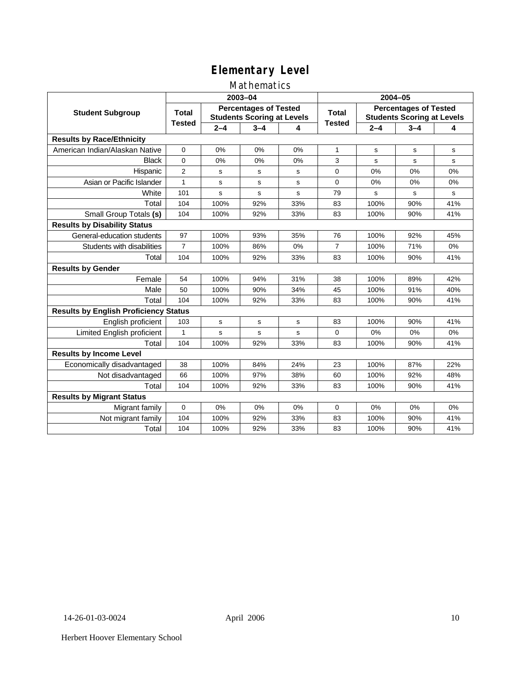### Mathematics

|                                              |                                                                                   |         | 2003-04     |             | 2004-05                                                           |         |             |     |  |
|----------------------------------------------|-----------------------------------------------------------------------------------|---------|-------------|-------------|-------------------------------------------------------------------|---------|-------------|-----|--|
| <b>Student Subgroup</b>                      | <b>Percentages of Tested</b><br><b>Total</b><br><b>Students Scoring at Levels</b> |         |             | Total       | <b>Percentages of Tested</b><br><b>Students Scoring at Levels</b> |         |             |     |  |
|                                              | <b>Tested</b>                                                                     | $2 - 4$ | $3 - 4$     | 4           | <b>Tested</b>                                                     | $2 - 4$ | $3 - 4$     | 4   |  |
| <b>Results by Race/Ethnicity</b>             |                                                                                   |         |             |             |                                                                   |         |             |     |  |
| American Indian/Alaskan Native               | $\mathbf 0$                                                                       | 0%      | 0%          | 0%          | $\mathbf{1}$                                                      | s       | s           | s   |  |
| <b>Black</b>                                 | $\mathbf 0$                                                                       | 0%      | 0%          | 0%          | 3                                                                 | s       | s           | s   |  |
| Hispanic                                     | 2                                                                                 | s       | s           | s           | 0                                                                 | 0%      | 0%          | 0%  |  |
| Asian or Pacific Islander                    | $\mathbf{1}$                                                                      | s       | s           | s           | 0                                                                 | 0%      | 0%          | 0%  |  |
| White                                        | 101                                                                               | s       | s           | s           | 79                                                                | s       | $\mathbf s$ | s   |  |
| Total                                        | 104                                                                               | 100%    | 92%         | 33%         | 83                                                                | 100%    | 90%         | 41% |  |
| Small Group Totals (s)                       | 104                                                                               | 100%    | 92%         | 33%         | 83                                                                | 100%    | 90%         | 41% |  |
| <b>Results by Disability Status</b>          |                                                                                   |         |             |             |                                                                   |         |             |     |  |
| General-education students                   | 97                                                                                | 100%    | 93%         | 35%         | 76                                                                | 100%    | 92%         | 45% |  |
| Students with disabilities                   | $\overline{7}$                                                                    | 100%    | 86%         | 0%          | $\overline{7}$                                                    | 100%    | 71%         | 0%  |  |
| Total                                        | 104                                                                               | 100%    | 92%         | 33%         | 83                                                                | 100%    | 90%         | 41% |  |
| <b>Results by Gender</b>                     |                                                                                   |         |             |             |                                                                   |         |             |     |  |
| Female                                       | 54                                                                                | 100%    | 94%         | 31%         | 38                                                                | 100%    | 89%         | 42% |  |
| Male                                         | 50                                                                                | 100%    | 90%         | 34%         | 45                                                                | 100%    | 91%         | 40% |  |
| Total                                        | 104                                                                               | 100%    | 92%         | 33%         | 83                                                                | 100%    | 90%         | 41% |  |
| <b>Results by English Proficiency Status</b> |                                                                                   |         |             |             |                                                                   |         |             |     |  |
| English proficient                           | 103                                                                               | s       | $\mathbf s$ | $\mathbf s$ | 83                                                                | 100%    | 90%         | 41% |  |
| Limited English proficient                   | 1                                                                                 | s       | s           | S           | 0                                                                 | 0%      | 0%          | 0%  |  |
| Total                                        | 104                                                                               | 100%    | 92%         | 33%         | 83                                                                | 100%    | 90%         | 41% |  |
| <b>Results by Income Level</b>               |                                                                                   |         |             |             |                                                                   |         |             |     |  |
| Economically disadvantaged                   | 38                                                                                | 100%    | 84%         | 24%         | 23                                                                | 100%    | 87%         | 22% |  |
| Not disadvantaged                            | 66                                                                                | 100%    | 97%         | 38%         | 60                                                                | 100%    | 92%         | 48% |  |
| Total                                        | 104                                                                               | 100%    | 92%         | 33%         | 83                                                                | 100%    | 90%         | 41% |  |
| <b>Results by Migrant Status</b>             |                                                                                   |         |             |             |                                                                   |         |             |     |  |
| Migrant family                               | 0                                                                                 | 0%      | 0%          | 0%          | 0                                                                 | 0%      | 0%          | 0%  |  |
| Not migrant family                           | 104                                                                               | 100%    | 92%         | 33%         | 83                                                                | 100%    | 90%         | 41% |  |
| Total                                        | 104                                                                               | 100%    | 92%         | 33%         | 83                                                                | 100%    | 90%         | 41% |  |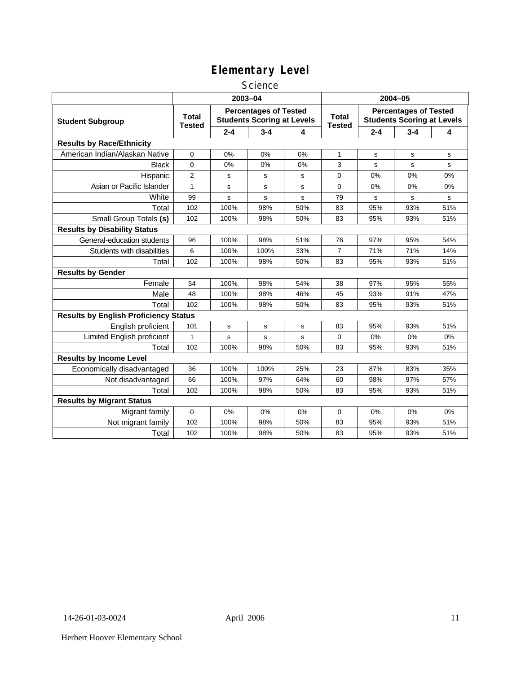#### **Science**

|                                              | 2003-04                                                                                            |             |             |                               |                                                                   | $2004 - 05$ |         |     |  |
|----------------------------------------------|----------------------------------------------------------------------------------------------------|-------------|-------------|-------------------------------|-------------------------------------------------------------------|-------------|---------|-----|--|
| <b>Student Subgroup</b>                      | <b>Percentages of Tested</b><br><b>Total</b><br><b>Students Scoring at Levels</b><br><b>Tested</b> |             |             | <b>Total</b><br><b>Tested</b> | <b>Percentages of Tested</b><br><b>Students Scoring at Levels</b> |             |         |     |  |
|                                              |                                                                                                    | $2 - 4$     | $3 - 4$     | 4                             |                                                                   | $2 - 4$     | $3 - 4$ | 4   |  |
| <b>Results by Race/Ethnicity</b>             |                                                                                                    |             |             |                               |                                                                   |             |         |     |  |
| American Indian/Alaskan Native               | 0                                                                                                  | 0%          | 0%          | 0%                            | $\mathbf{1}$                                                      | s           | s       | s   |  |
| <b>Black</b>                                 | 0                                                                                                  | 0%          | 0%          | 0%                            | 3                                                                 | s           | s       | s   |  |
| Hispanic                                     | 2                                                                                                  | s           | s           | s                             | 0                                                                 | 0%          | 0%      | 0%  |  |
| Asian or Pacific Islander                    | $\mathbf{1}$                                                                                       | s           | s           | s                             | $\mathbf 0$                                                       | 0%          | 0%      | 0%  |  |
| White                                        | 99                                                                                                 | s           | s           | s                             | 79                                                                | s           | s       | s   |  |
| Total                                        | 102                                                                                                | 100%        | 98%         | 50%                           | 83                                                                | 95%         | 93%     | 51% |  |
| Small Group Totals (s)                       | 102                                                                                                | 100%        | 98%         | 50%                           | 83                                                                | 95%         | 93%     | 51% |  |
| <b>Results by Disability Status</b>          |                                                                                                    |             |             |                               |                                                                   |             |         |     |  |
| General-education students                   | 96                                                                                                 | 100%        | 98%         | 51%                           | 76                                                                | 97%         | 95%     | 54% |  |
| Students with disabilities                   | 6                                                                                                  | 100%        | 100%        | 33%                           | $\overline{7}$                                                    | 71%         | 71%     | 14% |  |
| Total                                        | 102                                                                                                | 100%        | 98%         | 50%                           | 83                                                                | 95%         | 93%     | 51% |  |
| <b>Results by Gender</b>                     |                                                                                                    |             |             |                               |                                                                   |             |         |     |  |
| Female                                       | 54                                                                                                 | 100%        | 98%         | 54%                           | 38                                                                | 97%         | 95%     | 55% |  |
| Male                                         | 48                                                                                                 | 100%        | 98%         | 46%                           | 45                                                                | 93%         | 91%     | 47% |  |
| Total                                        | 102                                                                                                | 100%        | 98%         | 50%                           | 83                                                                | 95%         | 93%     | 51% |  |
| <b>Results by English Proficiency Status</b> |                                                                                                    |             |             |                               |                                                                   |             |         |     |  |
| English proficient                           | 101                                                                                                | $\mathbf s$ | $\mathbf s$ | s                             | 83                                                                | 95%         | 93%     | 51% |  |
| Limited English proficient                   | $\mathbf{1}$                                                                                       | s           | s           | s                             | 0                                                                 | 0%          | 0%      | 0%  |  |
| Total                                        | 102                                                                                                | 100%        | 98%         | 50%                           | 83                                                                | 95%         | 93%     | 51% |  |
| <b>Results by Income Level</b>               |                                                                                                    |             |             |                               |                                                                   |             |         |     |  |
| Economically disadvantaged                   | 36                                                                                                 | 100%        | 100%        | 25%                           | 23                                                                | 87%         | 83%     | 35% |  |
| Not disadvantaged                            | 66                                                                                                 | 100%        | 97%         | 64%                           | 60                                                                | 98%         | 97%     | 57% |  |
| Total                                        | 102                                                                                                | 100%        | 98%         | 50%                           | 83                                                                | 95%         | 93%     | 51% |  |
| <b>Results by Migrant Status</b>             |                                                                                                    |             |             |                               |                                                                   |             |         |     |  |
| Migrant family                               | 0                                                                                                  | 0%          | 0%          | 0%                            | 0                                                                 | 0%          | 0%      | 0%  |  |
| Not migrant family                           | 102                                                                                                | 100%        | 98%         | 50%                           | 83                                                                | 95%         | 93%     | 51% |  |
| Total                                        | 102                                                                                                | 100%        | 98%         | 50%                           | 83                                                                | 95%         | 93%     | 51% |  |